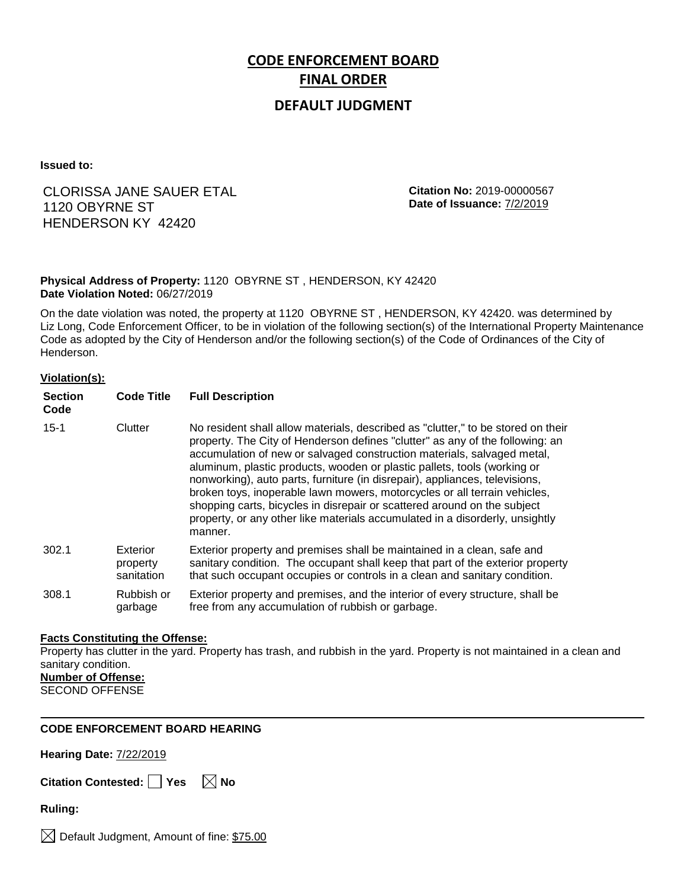# **CODE ENFORCEMENT BOARD FINAL ORDER**

### **DEFAULT JUDGMENT**

**Issued to:**

### CLORISSA JANE SAUER ETAL 1120 OBYRNE ST HENDERSON KY 42420

**Citation No:** 2019-00000567 **Date of Issuance:** 7/2/2019

#### **Physical Address of Property:** 1120 OBYRNE ST , HENDERSON, KY 42420 **Date Violation Noted:** 06/27/2019

On the date violation was noted, the property at 1120 OBYRNE ST , HENDERSON, KY 42420. was determined by Liz Long, Code Enforcement Officer, to be in violation of the following section(s) of the International Property Maintenance Code as adopted by the City of Henderson and/or the following section(s) of the Code of Ordinances of the City of Henderson.

#### **Violation(s):**

| <b>Section</b><br>Code | <b>Code Title</b>                  | <b>Full Description</b>                                                                                                                                                                                                                                                                                                                                                                                                                                                                                                                                                                                                                                     |
|------------------------|------------------------------------|-------------------------------------------------------------------------------------------------------------------------------------------------------------------------------------------------------------------------------------------------------------------------------------------------------------------------------------------------------------------------------------------------------------------------------------------------------------------------------------------------------------------------------------------------------------------------------------------------------------------------------------------------------------|
| $15 - 1$               | Clutter                            | No resident shall allow materials, described as "clutter," to be stored on their<br>property. The City of Henderson defines "clutter" as any of the following: an<br>accumulation of new or salvaged construction materials, salvaged metal,<br>aluminum, plastic products, wooden or plastic pallets, tools (working or<br>nonworking), auto parts, furniture (in disrepair), appliances, televisions,<br>broken toys, inoperable lawn mowers, motorcycles or all terrain vehicles,<br>shopping carts, bicycles in disrepair or scattered around on the subject<br>property, or any other like materials accumulated in a disorderly, unsightly<br>manner. |
| 302.1                  | Exterior<br>property<br>sanitation | Exterior property and premises shall be maintained in a clean, safe and<br>sanitary condition. The occupant shall keep that part of the exterior property<br>that such occupant occupies or controls in a clean and sanitary condition.                                                                                                                                                                                                                                                                                                                                                                                                                     |
| 308.1                  | Rubbish or<br>garbage              | Exterior property and premises, and the interior of every structure, shall be<br>free from any accumulation of rubbish or garbage.                                                                                                                                                                                                                                                                                                                                                                                                                                                                                                                          |

#### **Facts Constituting the Offense:**

Property has clutter in the yard. Property has trash, and rubbish in the yard. Property is not maintained in a clean and sanitary condition. **Number of Offense:**

SECOND OFFENSE

### **CODE ENFORCEMENT BOARD HEARING**

**Hearing Date:** 7/22/2019

|  | Citation Contested: 门 | $\overline{\phantom{a}}$ Yes | $\boxtimes$ No |
|--|-----------------------|------------------------------|----------------|
|--|-----------------------|------------------------------|----------------|

**Ruling:**

 $\boxtimes$  Default Judgment, Amount of fine: \$75.00